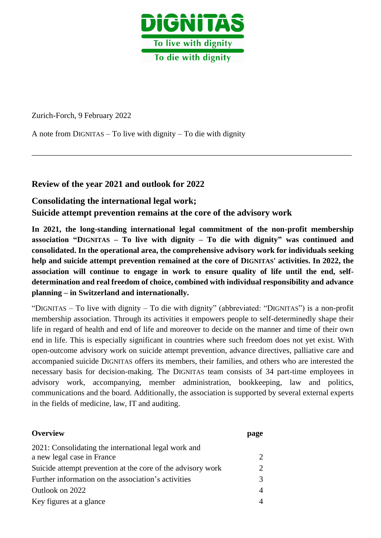

\_\_\_\_\_\_\_\_\_\_\_\_\_\_\_\_\_\_\_\_\_\_\_\_\_\_\_\_\_\_\_\_\_\_\_\_\_\_\_\_\_\_\_\_\_\_\_\_\_\_\_\_\_\_\_\_\_\_\_\_\_\_\_\_\_\_\_\_\_\_\_\_\_\_\_\_\_\_\_\_

Zurich-Forch, 9 February 2022

A note from DIGNITAS – To live with dignity – To die with dignity

# **Review of the year 2021 and outlook for 2022**

# **Consolidating the international legal work;**

**Suicide attempt prevention remains at the core of the advisory work**

**In 2021, the long-standing international legal commitment of the non-profit membership association "DIGNITAS – To live with dignity – To die with dignity" was continued and consolidated. In the operational area, the comprehensive advisory work for individuals seeking help and suicide attempt prevention remained at the core of DIGNITAS' activities. In 2022, the association will continue to engage in work to ensure quality of life until the end, selfdetermination and real freedom of choice, combined with individual responsibility and advance planning – in Switzerland and internationally.**

"DIGNITAS – To live with dignity – To die with dignity" (abbreviated: "DIGNITAS") is a non-profit membership association. Through its activities it empowers people to self-determinedly shape their life in regard of health and end of life and moreover to decide on the manner and time of their own end in life. This is especially significant in countries where such freedom does not yet exist. With open-outcome advisory work on suicide attempt prevention, advance directives, palliative care and accompanied suicide DIGNITAS offers its members, their families, and others who are interested the necessary basis for decision-making. The DIGNITAS team consists of 34 part-time employees in advisory work, accompanying, member administration, bookkeeping, law and politics, communications and the board. Additionally, the association is supported by several external experts in the fields of medicine, law, IT and auditing.

| <b>Overview</b>                                                                    | page |
|------------------------------------------------------------------------------------|------|
| 2021: Consolidating the international legal work and<br>a new legal case in France |      |
| Suicide attempt prevention at the core of the advisory work                        | 2    |
| Further information on the association's activities                                |      |
| Outlook on 2022                                                                    |      |
| Key figures at a glance                                                            |      |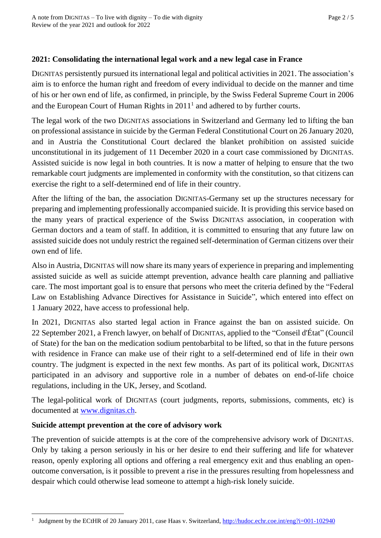## **2021: Consolidating the international legal work and a new legal case in France**

DIGNITAS persistently pursued its international legal and political activities in 2021. The association's aim is to enforce the human right and freedom of every individual to decide on the manner and time of his or her own end of life, as confirmed, in principle, by the Swiss Federal Supreme Court in 2006 and the European Court of Human Rights in  $2011<sup>1</sup>$  and adhered to by further courts.

The legal work of the two DIGNITAS associations in Switzerland and Germany led to lifting the ban on professional assistance in suicide by the German Federal Constitutional Court on 26 January 2020, and in Austria the Constitutional Court declared the blanket prohibition on assisted suicide unconstitutional in its judgement of 11 December 2020 in a court case commissioned by DIGNITAS. Assisted suicide is now legal in both countries. It is now a matter of helping to ensure that the two remarkable court judgments are implemented in conformity with the constitution, so that citizens can exercise the right to a self-determined end of life in their country.

After the lifting of the ban, the association DIGNITAS-Germany set up the structures necessary for preparing and implementing professionally accompanied suicide. It is providing this service based on the many years of practical experience of the Swiss DIGNITAS association, in cooperation with German doctors and a team of staff. In addition, it is committed to ensuring that any future law on assisted suicide does not unduly restrict the regained self-determination of German citizens over their own end of life.

Also in Austria, DIGNITAS will now share its many years of experience in preparing and implementing assisted suicide as well as suicide attempt prevention, advance health care planning and palliative care. The most important goal is to ensure that persons who meet the criteria defined by the "Federal Law on Establishing Advance Directives for Assistance in Suicide", which entered into effect on 1 January 2022, have access to professional help.

In 2021, DIGNITAS also started legal action in France against the ban on assisted suicide. On 22 September 2021, a French lawyer, on behalf of DIGNITAS, applied to the "Conseil d'État" (Council of State) for the ban on the medication sodium pentobarbital to be lifted, so that in the future persons with residence in France can make use of their right to a self-determined end of life in their own country. The judgment is expected in the next few months. As part of its political work, DIGNITAS participated in an advisory and supportive role in a number of debates on end-of-life choice regulations, including in the UK, Jersey, and Scotland.

The legal-political work of DIGNITAS (court judgments, reports, submissions, comments, etc) is documented at [www.dignitas.ch.](http://www.dignitas.ch/)

## **Suicide attempt prevention at the core of advisory work**

The prevention of suicide attempts is at the core of the comprehensive advisory work of DIGNITAS. Only by taking a person seriously in his or her desire to end their suffering and life for whatever reason, openly exploring all options and offering a real emergency exit and thus enabling an openoutcome conversation, is it possible to prevent a rise in the pressures resulting from hopelessness and despair which could otherwise lead someone to attempt a high-risk lonely suicide.

<sup>1</sup> Judgment by the ECtHR of 20 January 2011, case Haas v. Switzerland, <http://hudoc.echr.coe.int/eng?i=001-102940>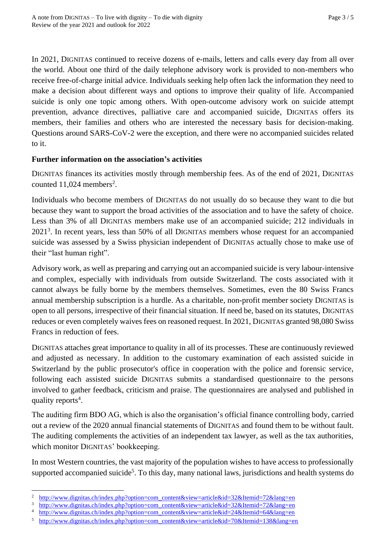In 2021, DIGNITAS continued to receive dozens of e-mails, letters and calls every day from all over the world. About one third of the daily telephone advisory work is provided to non-members who receive free-of-charge initial advice. Individuals seeking help often lack the information they need to make a decision about different ways and options to improve their quality of life. Accompanied suicide is only one topic among others. With open-outcome advisory work on suicide attempt prevention, advance directives, palliative care and accompanied suicide, DIGNITAS offers its members, their families and others who are interested the necessary basis for decision-making. Questions around SARS-CoV-2 were the exception, and there were no accompanied suicides related to it.

## **Further information on the association's activities**

DIGNITAS finances its activities mostly through membership fees. As of the end of 2021, DIGNITAS counted  $11,024$  members<sup>2</sup>.

Individuals who become members of DIGNITAS do not usually do so because they want to die but because they want to support the broad activities of the association and to have the safety of choice. Less than 3% of all DIGNITAS members make use of an accompanied suicide; 212 individuals in 2021<sup>3</sup>. In recent years, less than 50% of all DIGNITAS members whose request for an accompanied suicide was assessed by a Swiss physician independent of DIGNITAS actually chose to make use of their "last human right".

Advisory work, as well as preparing and carrying out an accompanied suicide is very labour-intensive and complex, especially with individuals from outside Switzerland. The costs associated with it cannot always be fully borne by the members themselves. Sometimes, even the 80 Swiss Francs annual membership subscription is a hurdle. As a charitable, non-profit member society DIGNITAS is open to all persons, irrespective of their financial situation. If need be, based on its statutes, DIGNITAS reduces or even completely waives fees on reasoned request. In 2021, DIGNITAS granted 98,080 Swiss Francs in reduction of fees.

DIGNITAS attaches great importance to quality in all of its processes. These are continuously reviewed and adjusted as necessary. In addition to the customary examination of each assisted suicide in Switzerland by the public prosecutor's office in cooperation with the police and forensic service, following each assisted suicide DIGNITAS submits a standardised questionnaire to the persons involved to gather feedback, criticism and praise. The questionnaires are analysed and published in quality reports<sup>4</sup>.

The auditing firm BDO AG, which is also the organisation's official finance controlling body, carried out a review of the 2020 annual financial statements of DIGNITAS and found them to be without fault. The auditing complements the activities of an independent tax lawyer, as well as the tax authorities, which monitor DIGNITAS' bookkeeping.

In most Western countries, the vast majority of the population wishes to have access to professionally supported accompanied suicide<sup>5</sup>. To this day, many national laws, jurisdictions and health systems do

[http://www.dignitas.ch/index.php?option=com\\_content&view=article&id=32&Itemid=72&lang=e](http://www.dignitas.ch/index.php?option=com_content&view=article&id=32&Itemid=72&lang=)n

<sup>3</sup> [http://www.dignitas.ch/index.php?option=com\\_content&view=article&id=32&Itemid=72&lang=e](http://www.dignitas.ch/index.php?option=com_content&view=article&id=32&Itemid=72&lang=)n

<sup>4</sup> [http://www.dignitas.ch/index.php?option=com\\_content&view=article&id=24&Itemid=64&lang=en](http://www.dignitas.ch/index.php?option=com_content&view=article&id=24&Itemid=64&lang=en)

<sup>5</sup> [http://www.dignitas.ch/index.php?option=com\\_content&view=article&id=70&Itemid=138&lang=en](http://www.dignitas.ch/index.php?option=com_content&view=article&id=70&Itemid=138&lang=en)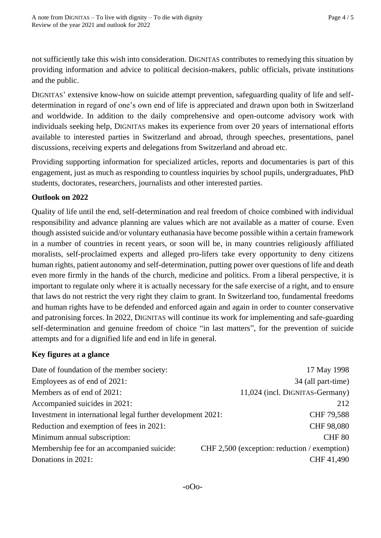not sufficiently take this wish into consideration. DIGNITAS contributes to remedying this situation by providing information and advice to political decision-makers, public officials, private institutions and the public.

DIGNITAS' extensive know-how on suicide attempt prevention, safeguarding quality of life and selfdetermination in regard of one's own end of life is appreciated and drawn upon both in Switzerland and worldwide. In addition to the daily comprehensive and open-outcome advisory work with individuals seeking help, DIGNITAS makes its experience from over 20 years of international efforts available to interested parties in Switzerland and abroad, through speeches, presentations, panel discussions, receiving experts and delegations from Switzerland and abroad etc.

Providing supporting information for specialized articles, reports and documentaries is part of this engagement, just as much as responding to countless inquiries by school pupils, undergraduates, PhD students, doctorates, researchers, journalists and other interested parties.

# **Outlook on 2022**

Quality of life until the end, self-determination and real freedom of choice combined with individual responsibility and advance planning are values which are not available as a matter of course. Even though assisted suicide and/or voluntary euthanasia have become possible within a certain framework in a number of countries in recent years, or soon will be, in many countries religiously affiliated moralists, self-proclaimed experts and alleged pro-lifers take every opportunity to deny citizens human rights, patient autonomy and self-determination, putting power over questions of life and death even more firmly in the hands of the church, medicine and politics. From a liberal perspective, it is important to regulate only where it is actually necessary for the safe exercise of a right, and to ensure that laws do not restrict the very right they claim to grant. In Switzerland too, fundamental freedoms and human rights have to be defended and enforced again and again in order to counter conservative and patronising forces. In 2022, DIGNITAS will continue its work for implementing and safe-guarding self-determination and genuine freedom of choice "in last matters", for the prevention of suicide attempts and for a dignified life and end in life in general.

## **Key figures at a glance**

| Date of foundation of the member society:                   | 17 May 1998                                  |
|-------------------------------------------------------------|----------------------------------------------|
| Employees as of end of 2021:                                | 34 (all part-time)                           |
| Members as of end of 2021:                                  | 11,024 (incl. DIGNITAS-Germany)              |
| Accompanied suicides in 2021:                               | 212                                          |
| Investment in international legal further development 2021: | CHF 79,588                                   |
| Reduction and exemption of fees in 2021:                    | CHF 98,080                                   |
| Minimum annual subscription:                                | CHF <sub>80</sub>                            |
| Membership fee for an accompanied suicide:                  | CHF 2,500 (exception: reduction / exemption) |
| Donations in 2021:                                          | CHF 41,490                                   |